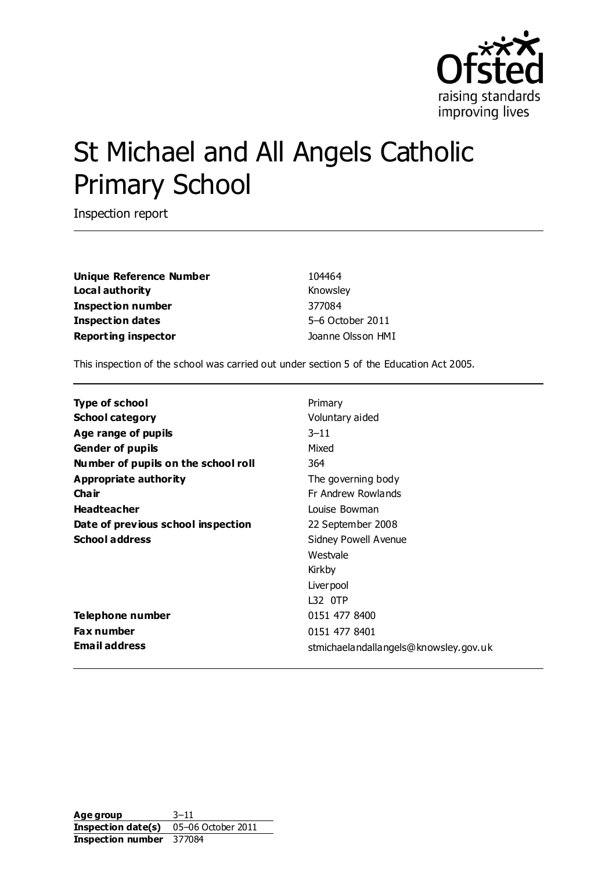

# St Michael and All Angels Catholic Primary School

Inspection report

| <b>Unique Reference Number</b> | 104464            |  |  |
|--------------------------------|-------------------|--|--|
| Local authority                | Knowsley          |  |  |
| Inspection number              | 377084            |  |  |
| <b>Inspection dates</b>        | 5-6 October 2011  |  |  |
| <b>Reporting inspector</b>     | Joanne Olsson HMI |  |  |

This inspection of the school was carried out under section 5 of the Education Act 2005.

| Type of school                      | Primary                               |
|-------------------------------------|---------------------------------------|
| <b>School category</b>              | Voluntary aided                       |
| Age range of pupils                 | $3 - 11$                              |
| <b>Gender of pupils</b>             | Mixed                                 |
| Number of pupils on the school roll | 364                                   |
| Appropriate authority               | The governing body                    |
| Cha ir                              | Fr Andrew Rowlands                    |
| <b>Headteacher</b>                  | Louise Bowman                         |
| Date of previous school inspection  | 22 September 2008                     |
| <b>School address</b>               | <b>Sidney Powell Avenue</b>           |
|                                     | Westvale                              |
|                                     | Kirkby                                |
|                                     | Liver pool                            |
|                                     | L32 0TP                               |
| Telephone number                    | 0151 477 8400                         |
| Fax number                          | 0151 477 8401                         |
| <b>Email address</b>                | stmichaelandallangels@knowsley.gov.uk |

**Age group** 3–11 **Inspection date(s)** 05–06 October 2011 **Inspection number** 377084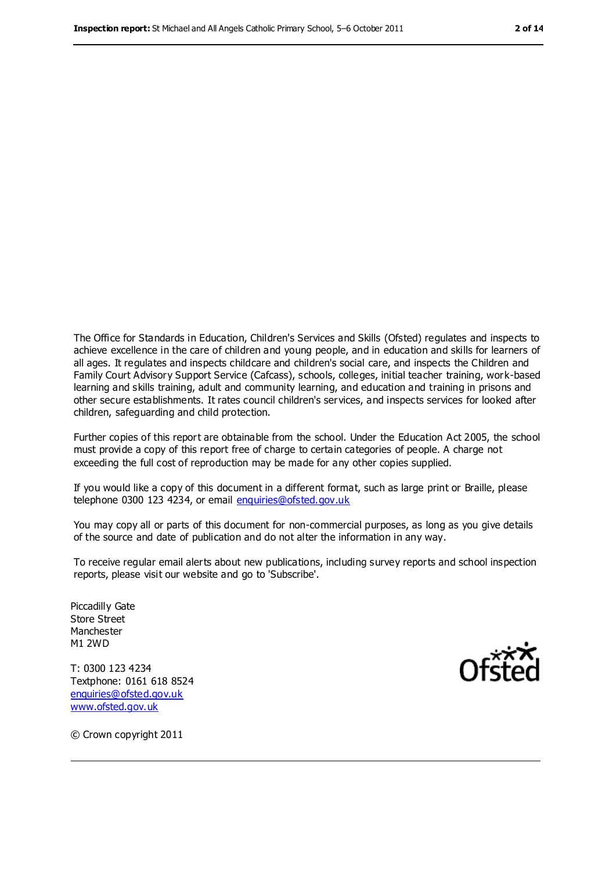The Office for Standards in Education, Children's Services and Skills (Ofsted) regulates and inspects to achieve excellence in the care of children and young people, and in education and skills for learners of all ages. It regulates and inspects childcare and children's social care, and inspects the Children and Family Court Advisory Support Service (Cafcass), schools, colleges, initial teacher training, work-based learning and skills training, adult and community learning, and education and training in prisons and other secure establishments. It rates council children's services, and inspects services for looked after children, safeguarding and child protection.

Further copies of this report are obtainable from the school. Under the Education Act 2005, the school must provide a copy of this report free of charge to certain categories of people. A charge not exceeding the full cost of reproduction may be made for any other copies supplied.

If you would like a copy of this document in a different format, such as large print or Braille, please telephone 0300 123 4234, or email [enquiries@ofsted.gov.uk](mailto:enquiries@ofsted.gov.uk)

You may copy all or parts of this document for non-commercial purposes, as long as you give details of the source and date of publication and do not alter the information in any way.

To receive regular email alerts about new publications, including survey reports and school inspection reports, please visit our website and go to 'Subscribe'.

Piccadilly Gate Store Street Manchester M1 2WD

T: 0300 123 4234 Textphone: 0161 618 8524 [enquiries@ofsted.gov.uk](mailto:enquiries@ofsted.gov.uk) [www.ofsted.gov.uk](http://www.ofsted.gov.uk/)



© Crown copyright 2011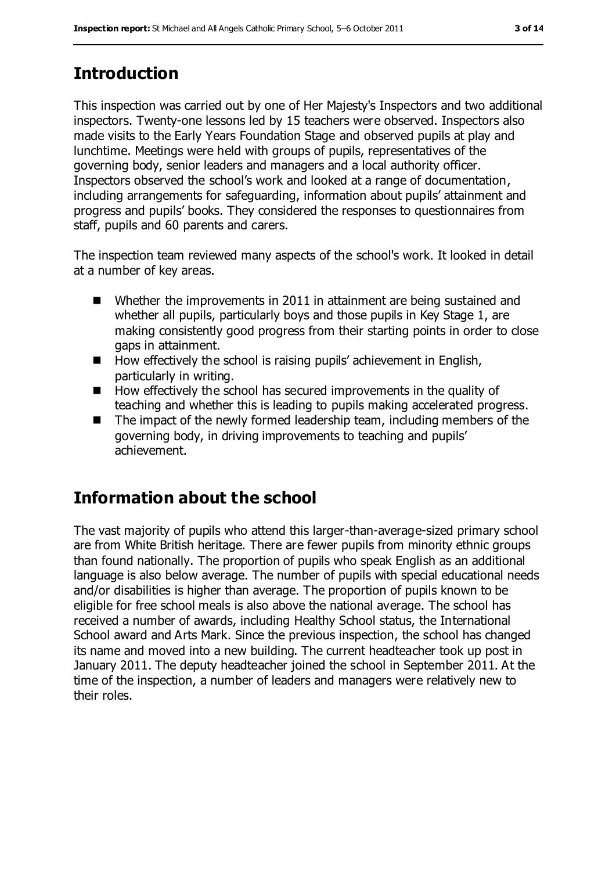# **Introduction**

This inspection was carried out by one of Her Majesty's Inspectors and two additional inspectors. Twenty-one lessons led by 15 teachers were observed. Inspectors also made visits to the Early Years Foundation Stage and observed pupils at play and lunchtime. Meetings were held with groups of pupils, representatives of the governing body, senior leaders and managers and a local authority officer. Inspectors observed the school's work and looked at a range of documentation, including arrangements for safeguarding, information about pupils' attainment and progress and pupils' books. They considered the responses to questionnaires from staff, pupils and 60 parents and carers.

The inspection team reviewed many aspects of the school's work. It looked in detail at a number of key areas.

- Whether the improvements in 2011 in attainment are being sustained and whether all pupils, particularly boys and those pupils in Key Stage 1, are making consistently good progress from their starting points in order to close gaps in attainment.
- $\blacksquare$  How effectively the school is raising pupils' achievement in English, particularly in writing.
- $\blacksquare$  How effectively the school has secured improvements in the quality of teaching and whether this is leading to pupils making accelerated progress.
- $\blacksquare$  The impact of the newly formed leadership team, including members of the governing body, in driving improvements to teaching and pupils' achievement.

# **Information about the school**

The vast majority of pupils who attend this larger-than-average-sized primary school are from White British heritage. There are fewer pupils from minority ethnic groups than found nationally. The proportion of pupils who speak English as an additional language is also below average. The number of pupils with special educational needs and/or disabilities is higher than average. The proportion of pupils known to be eligible for free school meals is also above the national average. The school has received a number of awards, including Healthy School status, the International School award and Arts Mark. Since the previous inspection, the school has changed its name and moved into a new building. The current headteacher took up post in January 2011. The deputy headteacher joined the school in September 2011. At the time of the inspection, a number of leaders and managers were relatively new to their roles.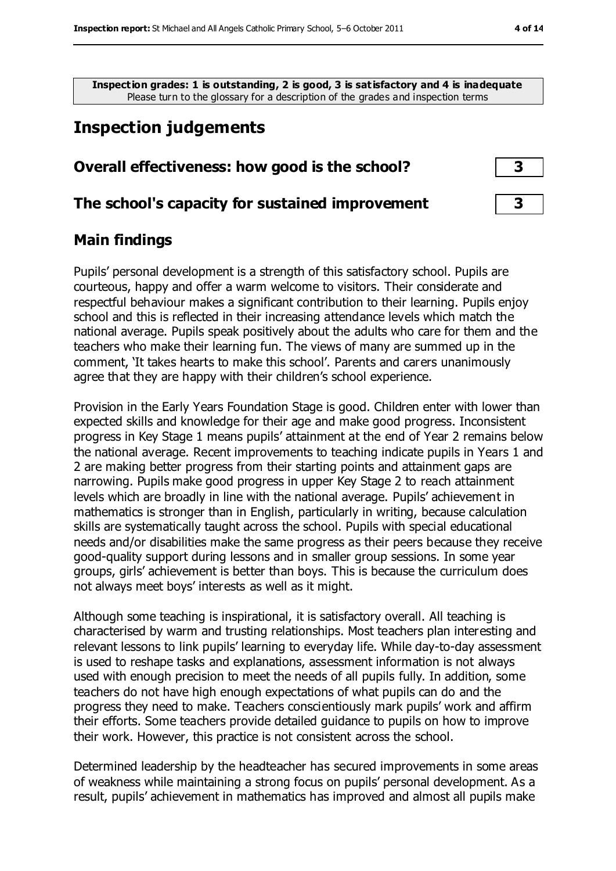**Inspection grades: 1 is outstanding, 2 is good, 3 is satisfactory and 4 is inadequate** Please turn to the glossary for a description of the grades and inspection terms

# **Inspection judgements**

#### **Overall effectiveness: how good is the school? 3**

#### **The school's capacity for sustained improvement 3**

#### **Main findings**

Pupils' personal development is a strength of this satisfactory school. Pupils are courteous, happy and offer a warm welcome to visitors. Their considerate and respectful behaviour makes a significant contribution to their learning. Pupils enjoy school and this is reflected in their increasing attendance levels which match the national average. Pupils speak positively about the adults who care for them and the teachers who make their learning fun. The views of many are summed up in the comment, 'It takes hearts to make this school'. Parents and carers unanimously agree that they are happy with their children's school experience.

Provision in the Early Years Foundation Stage is good. Children enter with lower than expected skills and knowledge for their age and make good progress. Inconsistent progress in Key Stage 1 means pupils' attainment at the end of Year 2 remains below the national average. Recent improvements to teaching indicate pupils in Years 1 and 2 are making better progress from their starting points and attainment gaps are narrowing. Pupils make good progress in upper Key Stage 2 to reach attainment levels which are broadly in line with the national average. Pupils' achievement in mathematics is stronger than in English, particularly in writing, because calculation skills are systematically taught across the school. Pupils with special educational needs and/or disabilities make the same progress as their peers because they receive good-quality support during lessons and in smaller group sessions. In some year groups, girls' achievement is better than boys. This is because the curriculum does not always meet boys' interests as well as it might.

Although some teaching is inspirational, it is satisfactory overall. All teaching is characterised by warm and trusting relationships. Most teachers plan interesting and relevant lessons to link pupils' learning to everyday life. While day-to-day assessment is used to reshape tasks and explanations, assessment information is not always used with enough precision to meet the needs of all pupils fully. In addition, some teachers do not have high enough expectations of what pupils can do and the progress they need to make. Teachers conscientiously mark pupils' work and affirm their efforts. Some teachers provide detailed guidance to pupils on how to improve their work. However, this practice is not consistent across the school.

Determined leadership by the headteacher has secured improvements in some areas of weakness while maintaining a strong focus on pupils' personal development. As a result, pupils' achievement in mathematics has improved and almost all pupils make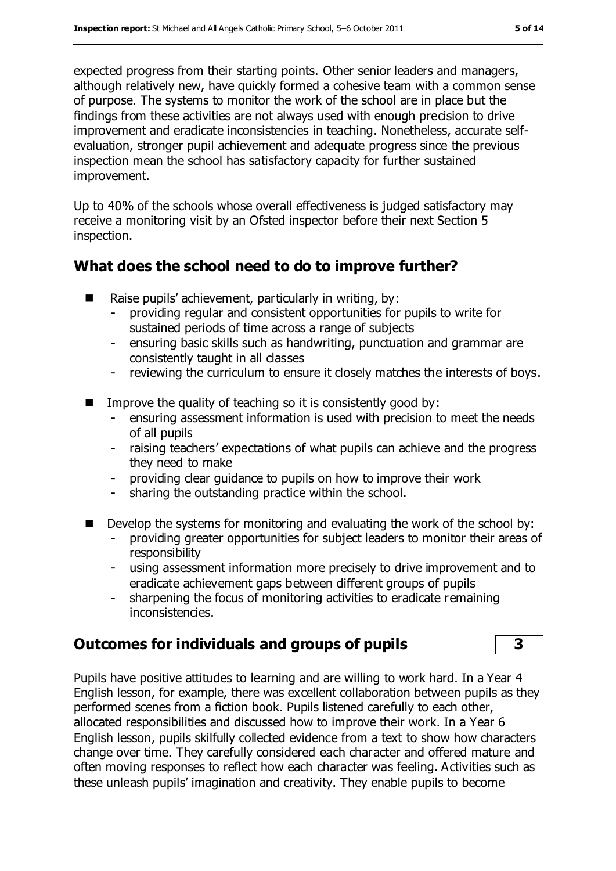expected progress from their starting points. Other senior leaders and managers, although relatively new, have quickly formed a cohesive team with a common sense of purpose. The systems to monitor the work of the school are in place but the findings from these activities are not always used with enough precision to drive improvement and eradicate inconsistencies in teaching. Nonetheless, accurate selfevaluation, stronger pupil achievement and adequate progress since the previous inspection mean the school has satisfactory capacity for further sustained improvement.

Up to 40% of the schools whose overall effectiveness is judged satisfactory may receive a monitoring visit by an Ofsted inspector before their next Section 5 inspection.

## **What does the school need to do to improve further?**

- Raise pupils' achievement, particularly in writing, by:
	- providing regular and consistent opportunities for pupils to write for sustained periods of time across a range of subjects
	- ensuring basic skills such as handwriting, punctuation and grammar are consistently taught in all classes
	- reviewing the curriculum to ensure it closely matches the interests of boys.
- Improve the quality of teaching so it is consistently good by:
	- ensuring assessment information is used with precision to meet the needs of all pupils
	- raising teachers' expectations of what pupils can achieve and the progress they need to make
	- providing clear guidance to pupils on how to improve their work
	- sharing the outstanding practice within the school.
- Develop the systems for monitoring and evaluating the work of the school by:
	- providing greater opportunities for subject leaders to monitor their areas of responsibility
	- using assessment information more precisely to drive improvement and to eradicate achievement gaps between different groups of pupils
	- sharpening the focus of monitoring activities to eradicate remaining inconsistencies.

## **Outcomes for individuals and groups of pupils 3**

Pupils have positive attitudes to learning and are willing to work hard. In a Year 4 English lesson, for example, there was excellent collaboration between pupils as they performed scenes from a fiction book. Pupils listened carefully to each other, allocated responsibilities and discussed how to improve their work. In a Year 6 English lesson, pupils skilfully collected evidence from a text to show how characters change over time. They carefully considered each character and offered mature and often moving responses to reflect how each character was feeling. Activities such as these unleash pupils' imagination and creativity. They enable pupils to become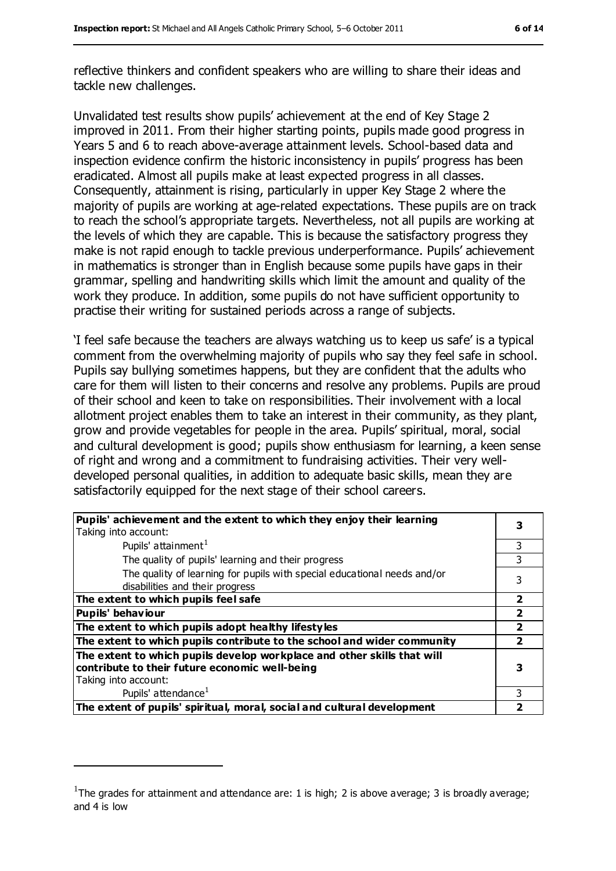reflective thinkers and confident speakers who are willing to share their ideas and tackle new challenges.

Unvalidated test results show pupils' achievement at the end of Key Stage 2 improved in 2011. From their higher starting points, pupils made good progress in Years 5 and 6 to reach above-average attainment levels. School-based data and inspection evidence confirm the historic inconsistency in pupils' progress has been eradicated. Almost all pupils make at least expected progress in all classes. Consequently, attainment is rising, particularly in upper Key Stage 2 where the majority of pupils are working at age-related expectations. These pupils are on track to reach the school's appropriate targets. Nevertheless, not all pupils are working at the levels of which they are capable. This is because the satisfactory progress they make is not rapid enough to tackle previous underperformance. Pupils' achievement in mathematics is stronger than in English because some pupils have gaps in their grammar, spelling and handwriting skills which limit the amount and quality of the work they produce. In addition, some pupils do not have sufficient opportunity to practise their writing for sustained periods across a range of subjects.

'I feel safe because the teachers are always watching us to keep us safe' is a typical comment from the overwhelming majority of pupils who say they feel safe in school. Pupils say bullying sometimes happens, but they are confident that the adults who care for them will listen to their concerns and resolve any problems. Pupils are proud of their school and keen to take on responsibilities. Their involvement with a local allotment project enables them to take an interest in their community, as they plant, grow and provide vegetables for people in the area. Pupils' spiritual, moral, social and cultural development is good; pupils show enthusiasm for learning, a keen sense of right and wrong and a commitment to fundraising activities. Their very welldeveloped personal qualities, in addition to adequate basic skills, mean they are satisfactorily equipped for the next stage of their school careers.

| Pupils' achievement and the extent to which they enjoy their learning<br>Taking into account:                                                     |   |
|---------------------------------------------------------------------------------------------------------------------------------------------------|---|
| Pupils' attainment <sup>1</sup>                                                                                                                   |   |
| The quality of pupils' learning and their progress                                                                                                |   |
| The quality of learning for pupils with special educational needs and/or<br>disabilities and their progress                                       |   |
| The extent to which pupils feel safe                                                                                                              | 2 |
| Pupils' behaviour                                                                                                                                 |   |
| The extent to which pupils adopt healthy lifestyles                                                                                               |   |
| The extent to which pupils contribute to the school and wider community                                                                           |   |
| The extent to which pupils develop workplace and other skills that will<br>contribute to their future economic well-being<br>Taking into account: |   |
| Pupils' attendance <sup>1</sup>                                                                                                                   |   |
| The extent of pupils' spiritual, moral, social and cultural development                                                                           |   |

 $\overline{a}$ 

<sup>&</sup>lt;sup>1</sup>The grades for attainment and attendance are: 1 is high; 2 is above average; 3 is broadly average; and 4 is low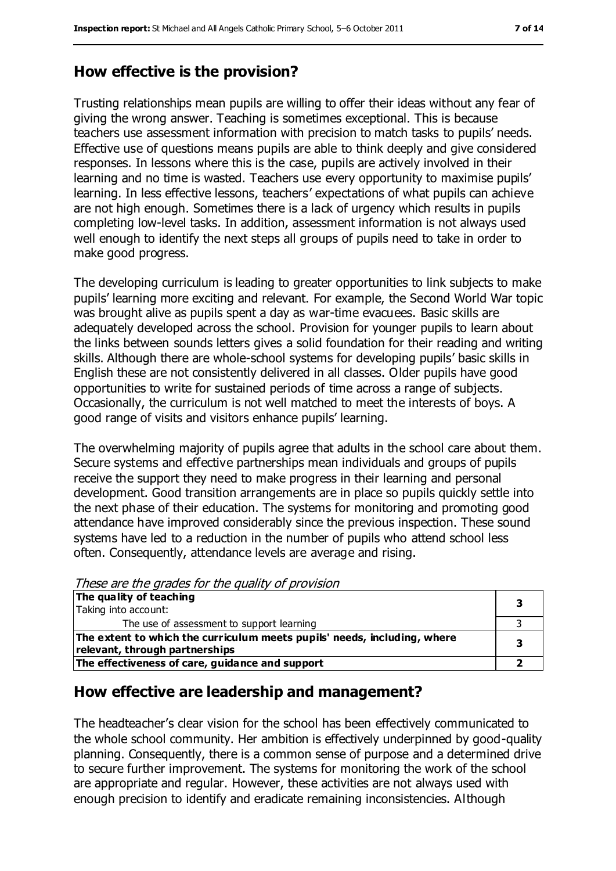### **How effective is the provision?**

Trusting relationships mean pupils are willing to offer their ideas without any fear of giving the wrong answer. Teaching is sometimes exceptional. This is because teachers use assessment information with precision to match tasks to pupils' needs. Effective use of questions means pupils are able to think deeply and give considered responses. In lessons where this is the case, pupils are actively involved in their learning and no time is wasted. Teachers use every opportunity to maximise pupils' learning. In less effective lessons, teachers' expectations of what pupils can achieve are not high enough. Sometimes there is a lack of urgency which results in pupils completing low-level tasks. In addition, assessment information is not always used well enough to identify the next steps all groups of pupils need to take in order to make good progress.

The developing curriculum is leading to greater opportunities to link subjects to make pupils' learning more exciting and relevant. For example, the Second World War topic was brought alive as pupils spent a day as war-time evacuees. Basic skills are adequately developed across the school. Provision for younger pupils to learn about the links between sounds letters gives a solid foundation for their reading and writing skills. Although there are whole-school systems for developing pupils' basic skills in English these are not consistently delivered in all classes. Older pupils have good opportunities to write for sustained periods of time across a range of subjects. Occasionally, the curriculum is not well matched to meet the interests of boys. A good range of visits and visitors enhance pupils' learning.

The overwhelming majority of pupils agree that adults in the school care about them. Secure systems and effective partnerships mean individuals and groups of pupils receive the support they need to make progress in their learning and personal development. Good transition arrangements are in place so pupils quickly settle into the next phase of their education. The systems for monitoring and promoting good attendance have improved considerably since the previous inspection. These sound systems have led to a reduction in the number of pupils who attend school less often. Consequently, attendance levels are average and rising.

These are the grades for the quality of provision

| The quality of teaching<br>Taking into account:                          |  |
|--------------------------------------------------------------------------|--|
|                                                                          |  |
| The use of assessment to support learning                                |  |
| The extent to which the curriculum meets pupils' needs, including, where |  |
| relevant, through partnerships                                           |  |
| The effectiveness of care, guidance and support                          |  |

#### **How effective are leadership and management?**

The headteacher's clear vision for the school has been effectively communicated to the whole school community. Her ambition is effectively underpinned by good-quality planning. Consequently, there is a common sense of purpose and a determined drive to secure further improvement. The systems for monitoring the work of the school are appropriate and regular. However, these activities are not always used with enough precision to identify and eradicate remaining inconsistencies. Although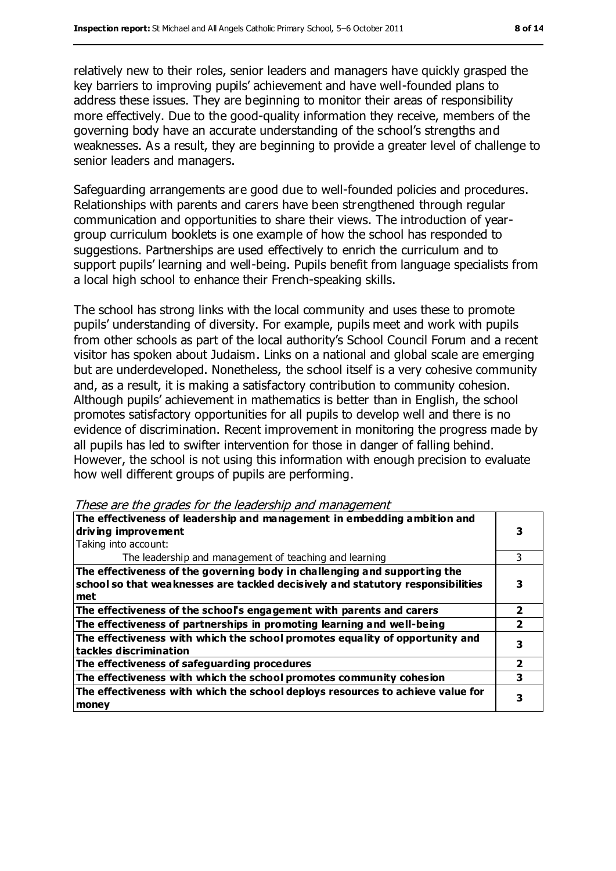relatively new to their roles, senior leaders and managers have quickly grasped the key barriers to improving pupils' achievement and have well-founded plans to address these issues. They are beginning to monitor their areas of responsibility more effectively. Due to the good-quality information they receive, members of the governing body have an accurate understanding of the school's strengths and weaknesses. As a result, they are beginning to provide a greater level of challenge to senior leaders and managers.

Safeguarding arrangements are good due to well-founded policies and procedures. Relationships with parents and carers have been strengthened through regular communication and opportunities to share their views. The introduction of yeargroup curriculum booklets is one example of how the school has responded to suggestions. Partnerships are used effectively to enrich the curriculum and to support pupils' learning and well-being. Pupils benefit from language specialists from a local high school to enhance their French-speaking skills.

The school has strong links with the local community and uses these to promote pupils' understanding of diversity. For example, pupils meet and work with pupils from other schools as part of the local authority's School Council Forum and a recent visitor has spoken about Judaism. Links on a national and global scale are emerging but are underdeveloped. Nonetheless, the school itself is a very cohesive community and, as a result, it is making a satisfactory contribution to community cohesion. Although pupils' achievement in mathematics is better than in English, the school promotes satisfactory opportunities for all pupils to develop well and there is no evidence of discrimination. Recent improvement in monitoring the progress made by all pupils has led to swifter intervention for those in danger of falling behind. However, the school is not using this information with enough precision to evaluate how well different groups of pupils are performing.

These are the grades for the leadership and management

| The effectiveness of leadership and management in embedding ambition and        |   |  |
|---------------------------------------------------------------------------------|---|--|
| driving improvement                                                             |   |  |
| Taking into account:                                                            |   |  |
| The leadership and management of teaching and learning                          |   |  |
| The effectiveness of the governing body in challenging and supporting the       |   |  |
| school so that weaknesses are tackled decisively and statutory responsibilities |   |  |
| met                                                                             |   |  |
| The effectiveness of the school's engagement with parents and carers            |   |  |
| The effectiveness of partnerships in promoting learning and well-being          |   |  |
| The effectiveness with which the school promotes equality of opportunity and    |   |  |
| tackles discrimination                                                          |   |  |
| The effectiveness of safeguarding procedures                                    | 2 |  |
| The effectiveness with which the school promotes community cohesion             | 3 |  |
| The effectiveness with which the school deploys resources to achieve value for  |   |  |
| money                                                                           |   |  |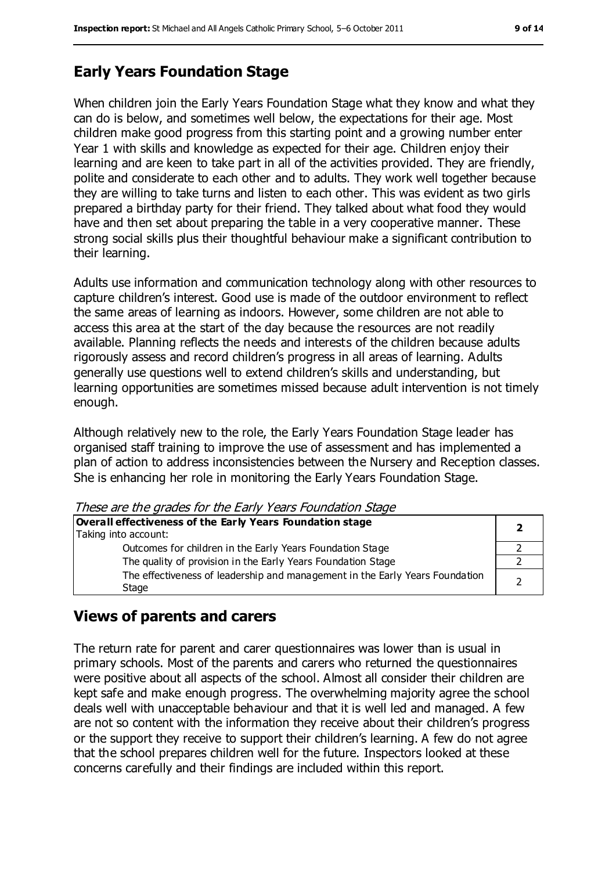## **Early Years Foundation Stage**

When children join the Early Years Foundation Stage what they know and what they can do is below, and sometimes well below, the expectations for their age. Most children make good progress from this starting point and a growing number enter Year 1 with skills and knowledge as expected for their age. Children enjoy their learning and are keen to take part in all of the activities provided. They are friendly, polite and considerate to each other and to adults. They work well together because they are willing to take turns and listen to each other. This was evident as two girls prepared a birthday party for their friend. They talked about what food they would have and then set about preparing the table in a very cooperative manner. These strong social skills plus their thoughtful behaviour make a significant contribution to their learning.

Adults use information and communication technology along with other resources to capture children's interest. Good use is made of the outdoor environment to reflect the same areas of learning as indoors. However, some children are not able to access this area at the start of the day because the resources are not readily available. Planning reflects the needs and interests of the children because adults rigorously assess and record children's progress in all areas of learning. Adults generally use questions well to extend children's skills and understanding, but learning opportunities are sometimes missed because adult intervention is not timely enough.

Although relatively new to the role, the Early Years Foundation Stage leader has organised staff training to improve the use of assessment and has implemented a plan of action to address inconsistencies between the Nursery and Reception classes. She is enhancing her role in monitoring the Early Years Foundation Stage.

These are the grades for the Early Years Foundation Stage

| Overall effectiveness of the Early Years Foundation stage<br>Taking into account:     |  |
|---------------------------------------------------------------------------------------|--|
| Outcomes for children in the Early Years Foundation Stage                             |  |
| The quality of provision in the Early Years Foundation Stage                          |  |
| The effectiveness of leadership and management in the Early Years Foundation<br>Stage |  |

#### **Views of parents and carers**

The return rate for parent and carer questionnaires was lower than is usual in primary schools. Most of the parents and carers who returned the questionnaires were positive about all aspects of the school. Almost all consider their children are kept safe and make enough progress. The overwhelming majority agree the school deals well with unacceptable behaviour and that it is well led and managed. A few are not so content with the information they receive about their children's progress or the support they receive to support their children's learning. A few do not agree that the school prepares children well for the future. Inspectors looked at these concerns carefully and their findings are included within this report.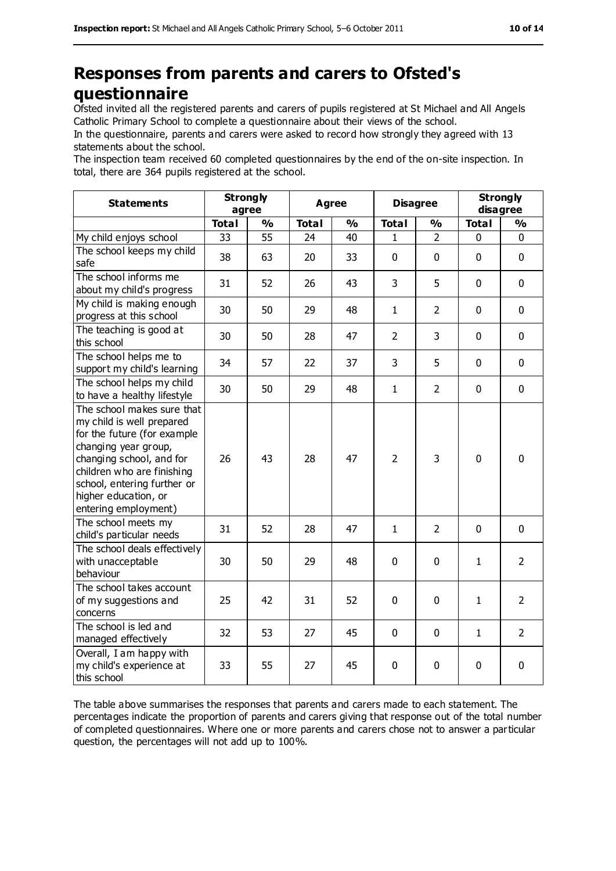# **Responses from parents and carers to Ofsted's questionnaire**

Ofsted invited all the registered parents and carers of pupils registered at St Michael and All Angels Catholic Primary School to complete a questionnaire about their views of the school.

In the questionnaire, parents and carers were asked to record how strongly they agreed with 13 statements about the school.

The inspection team received 60 completed questionnaires by the end of the on-site inspection. In total, there are 364 pupils registered at the school.

| <b>Statements</b>                                                                                                                                                                                                                                       | <b>Strongly</b><br>agree |               | <b>Agree</b> |               | <b>Disagree</b> |                | <b>Strongly</b><br>disagree |                |
|---------------------------------------------------------------------------------------------------------------------------------------------------------------------------------------------------------------------------------------------------------|--------------------------|---------------|--------------|---------------|-----------------|----------------|-----------------------------|----------------|
|                                                                                                                                                                                                                                                         | <b>Total</b>             | $\frac{1}{2}$ | <b>Total</b> | $\frac{0}{0}$ | <b>Total</b>    | $\frac{0}{0}$  | <b>Total</b>                | $\frac{0}{0}$  |
| My child enjoys school                                                                                                                                                                                                                                  | 33                       | 55            | 24           | 40            | $\mathbf{1}$    | $\overline{2}$ | 0                           | $\mathbf 0$    |
| The school keeps my child<br>safe                                                                                                                                                                                                                       | 38                       | 63            | 20           | 33            | 0               | $\mathbf 0$    | $\mathbf 0$                 | $\mathbf 0$    |
| The school informs me<br>about my child's progress                                                                                                                                                                                                      | 31                       | 52            | 26           | 43            | 3               | 5              | $\mathbf 0$                 | $\mathbf 0$    |
| My child is making enough<br>progress at this school                                                                                                                                                                                                    | 30                       | 50            | 29           | 48            | $\mathbf{1}$    | $\overline{2}$ | $\mathbf 0$                 | $\mathbf 0$    |
| The teaching is good at<br>this school                                                                                                                                                                                                                  | 30                       | 50            | 28           | 47            | $\overline{2}$  | 3              | $\mathbf 0$                 | $\mathbf 0$    |
| The school helps me to<br>support my child's learning                                                                                                                                                                                                   | 34                       | 57            | 22           | 37            | 3               | 5              | $\mathbf 0$                 | $\mathbf 0$    |
| The school helps my child<br>to have a healthy lifestyle                                                                                                                                                                                                | 30                       | 50            | 29           | 48            | $\mathbf{1}$    | $\overline{2}$ | $\mathbf 0$                 | $\mathbf 0$    |
| The school makes sure that<br>my child is well prepared<br>for the future (for example<br>changing year group,<br>changing school, and for<br>children who are finishing<br>school, entering further or<br>higher education, or<br>entering employment) | 26                       | 43            | 28           | 47            | $\overline{2}$  | 3              | $\mathbf 0$                 | $\mathbf 0$    |
| The school meets my<br>child's particular needs                                                                                                                                                                                                         | 31                       | 52            | 28           | 47            | $\mathbf{1}$    | $\overline{2}$ | $\mathbf 0$                 | $\mathbf 0$    |
| The school deals effectively<br>with unacceptable<br>behaviour                                                                                                                                                                                          | 30                       | 50            | 29           | 48            | 0               | $\mathbf 0$    | $\mathbf{1}$                | $\overline{2}$ |
| The school takes account<br>of my suggestions and<br>concerns                                                                                                                                                                                           | 25                       | 42            | 31           | 52            | 0               | 0              | $\mathbf{1}$                | $\overline{2}$ |
| The school is led and<br>managed effectively                                                                                                                                                                                                            | 32                       | 53            | 27           | 45            | 0               | $\mathbf 0$    | $\mathbf{1}$                | $\overline{2}$ |
| Overall, I am happy with<br>my child's experience at<br>this school                                                                                                                                                                                     | 33                       | 55            | 27           | 45            | 0               | 0              | $\pmb{0}$                   | $\pmb{0}$      |

The table above summarises the responses that parents and carers made to each statement. The percentages indicate the proportion of parents and carers giving that response out of the total number of completed questionnaires. Where one or more parents and carers chose not to answer a particular question, the percentages will not add up to 100%.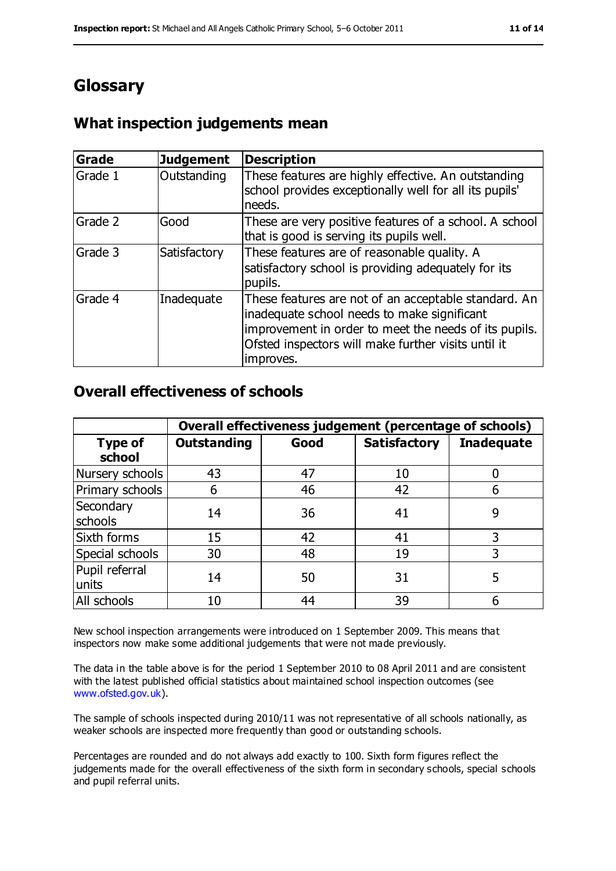# **Glossary**

## **What inspection judgements mean**

| <b>Grade</b> | <b>Judgement</b> | <b>Description</b>                                                                                                                                                                                                               |
|--------------|------------------|----------------------------------------------------------------------------------------------------------------------------------------------------------------------------------------------------------------------------------|
| Grade 1      | Outstanding      | These features are highly effective. An outstanding<br>school provides exceptionally well for all its pupils'<br>needs.                                                                                                          |
| Grade 2      | Good             | These are very positive features of a school. A school<br>that is good is serving its pupils well.                                                                                                                               |
| Grade 3      | Satisfactory     | These features are of reasonable quality. A<br>satisfactory school is providing adequately for its<br>pupils.                                                                                                                    |
| Grade 4      | Inadequate       | These features are not of an acceptable standard. An<br>inadequate school needs to make significant<br>improvement in order to meet the needs of its pupils.<br>Ofsted inspectors will make further visits until it<br>improves. |

#### **Overall effectiveness of schools**

|                          | Overall effectiveness judgement (percentage of schools) |      |                     |                   |
|--------------------------|---------------------------------------------------------|------|---------------------|-------------------|
| <b>Type of</b><br>school | <b>Outstanding</b>                                      | Good | <b>Satisfactory</b> | <b>Inadequate</b> |
| Nursery schools          | 43                                                      | 47   | 10                  |                   |
| Primary schools          | 6                                                       | 46   | 42                  | 6                 |
| Secondary<br>schools     | 14                                                      | 36   | 41                  | 9                 |
| Sixth forms              | 15                                                      | 42   | 41                  | 3                 |
| Special schools          | 30                                                      | 48   | 19                  |                   |
| Pupil referral<br>units  | 14                                                      | 50   | 31                  | 5                 |
| All schools              | 10                                                      | 44   | 39                  |                   |

New school inspection arrangements were introduced on 1 September 2009. This means that inspectors now make some additional judgements that were not made previously.

The data in the table above is for the period 1 September 2010 to 08 April 2011 and are consistent with the latest published official statistics about maintained school inspection outcomes (see [www.ofsted.gov.uk\)](http://www.ofsted.gov.uk/).

The sample of schools inspected during 2010/11 was not representative of all schools nationally, as weaker schools are inspected more frequently than good or outstanding schools.

Percentages are rounded and do not always add exactly to 100. Sixth form figures reflect the judgements made for the overall effectiveness of the sixth form in secondary schools, special schools and pupil referral units.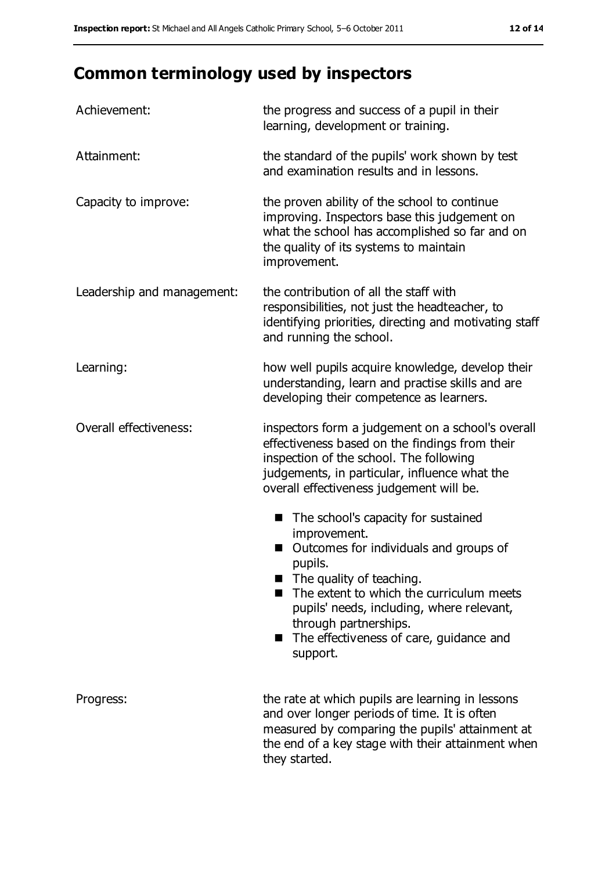# **Common terminology used by inspectors**

| Achievement:               | the progress and success of a pupil in their<br>learning, development or training.                                                                                                                                                                                                                            |  |  |
|----------------------------|---------------------------------------------------------------------------------------------------------------------------------------------------------------------------------------------------------------------------------------------------------------------------------------------------------------|--|--|
| Attainment:                | the standard of the pupils' work shown by test<br>and examination results and in lessons.                                                                                                                                                                                                                     |  |  |
| Capacity to improve:       | the proven ability of the school to continue<br>improving. Inspectors base this judgement on<br>what the school has accomplished so far and on<br>the quality of its systems to maintain<br>improvement.                                                                                                      |  |  |
| Leadership and management: | the contribution of all the staff with<br>responsibilities, not just the headteacher, to<br>identifying priorities, directing and motivating staff<br>and running the school.                                                                                                                                 |  |  |
| Learning:                  | how well pupils acquire knowledge, develop their<br>understanding, learn and practise skills and are<br>developing their competence as learners.                                                                                                                                                              |  |  |
| Overall effectiveness:     | inspectors form a judgement on a school's overall<br>effectiveness based on the findings from their<br>inspection of the school. The following<br>judgements, in particular, influence what the<br>overall effectiveness judgement will be.                                                                   |  |  |
|                            | The school's capacity for sustained<br>improvement.<br>Outcomes for individuals and groups of<br>pupils.<br>The quality of teaching.<br>The extent to which the curriculum meets<br>pupils' needs, including, where relevant,<br>through partnerships.<br>The effectiveness of care, guidance and<br>support. |  |  |
| Progress:                  | the rate at which pupils are learning in lessons<br>and over longer periods of time. It is often<br>measured by comparing the pupils' attainment at<br>the end of a key stage with their attainment when<br>they started.                                                                                     |  |  |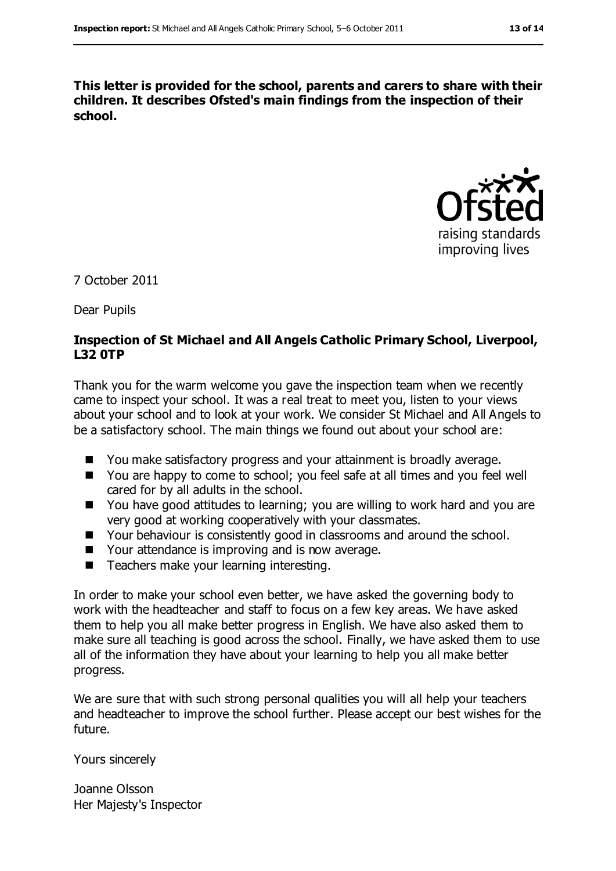**This letter is provided for the school, parents and carers to share with their children. It describes Ofsted's main findings from the inspection of their school.**



7 October 2011

Dear Pupils

#### **Inspection of St Michael and All Angels Catholic Primary School, Liverpool, L32 0TP**

Thank you for the warm welcome you gave the inspection team when we recently came to inspect your school. It was a real treat to meet you, listen to your views about your school and to look at your work. We consider St Michael and All Angels to be a satisfactory school. The main things we found out about your school are:

- You make satisfactory progress and your attainment is broadly average.
- You are happy to come to school; you feel safe at all times and you feel well cared for by all adults in the school.
- You have good attitudes to learning; you are willing to work hard and you are very good at working cooperatively with your classmates.
- Your behaviour is consistently good in classrooms and around the school.
- Your attendance is improving and is now average.
- Teachers make your learning interesting.

In order to make your school even better, we have asked the governing body to work with the headteacher and staff to focus on a few key areas. We have asked them to help you all make better progress in English. We have also asked them to make sure all teaching is good across the school. Finally, we have asked them to use all of the information they have about your learning to help you all make better progress.

We are sure that with such strong personal qualities you will all help your teachers and headteacher to improve the school further. Please accept our best wishes for the future.

Yours sincerely

Joanne Olsson Her Majesty's Inspector